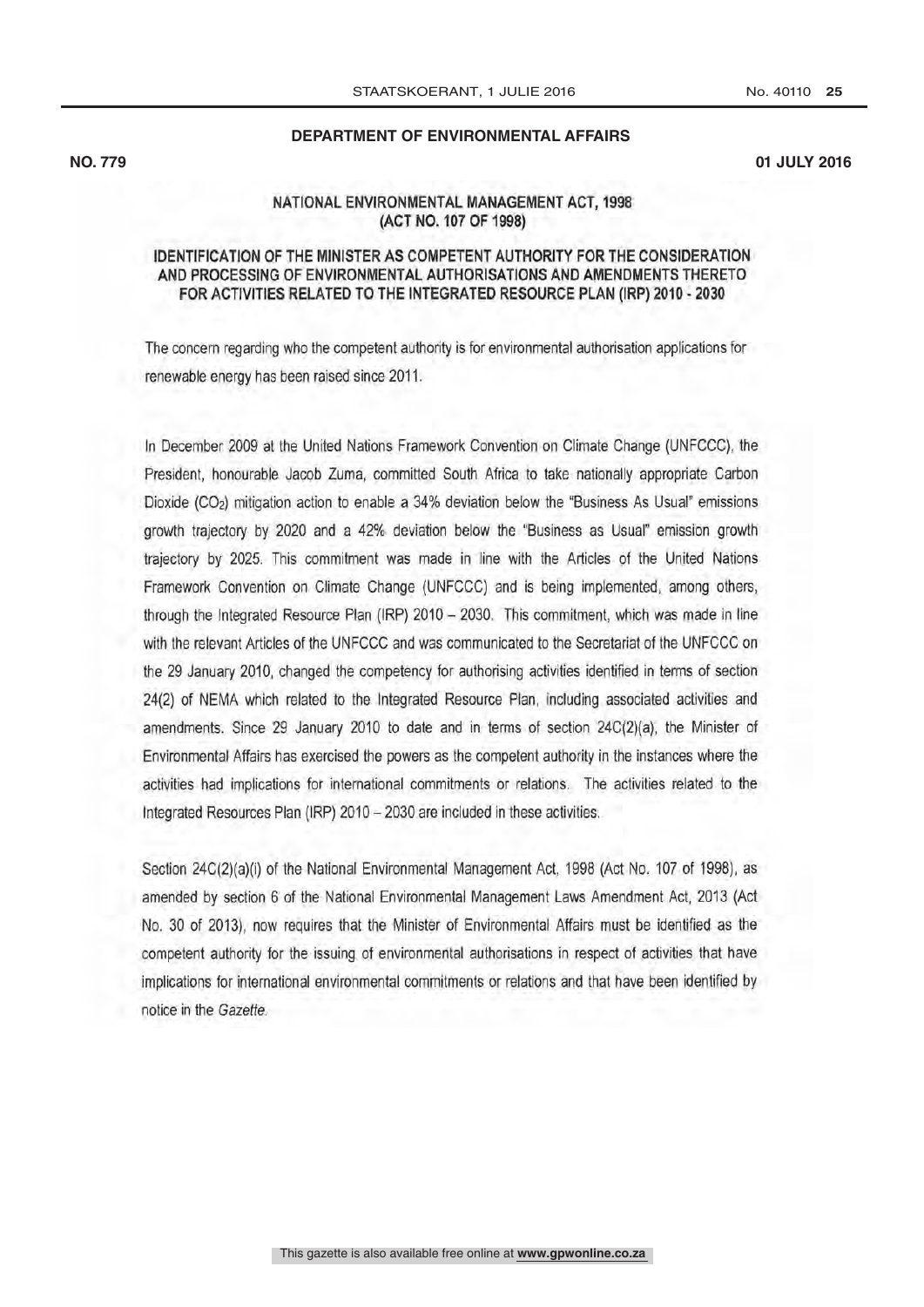## DEPARTMENT OF ENVIRONMENTAL AFFAIRS **DEPARTMENT OF ENVIRONMENTAL AFFAIRS**

NO. 2016 **NO. 779 01 JULY 2016**

## NATIONAL ENVIRONMENTAL MANAGEMENT ACT, 1998 (ACT NO. 107 OF 1998)

## IDENTIFICATION OF THE MINISTER AS COMPETENT AUTHORITY FOR THE CONSIDERATION AND PROCESSING OF ENVIRONMENTAL AUTHORISATIONS AND AMENDMENTS THERETO FOR ACTIVITIES RELATED TO THE INTEGRATED RESOURCE PLAN (IRP) 2010 - 2030

The concern regarding who the competent authority is for environmental authorisation applications for renewable energy has been raised since 2011.

In December 2009 at the United Nations Framework Convention on Climate Change (UNFCCC), the President, honourable Jacob Zuma, committed South Africa to take nationally appropriate Carbon Dioxide (CO2) mitigation action to enable a 34% deviation below the "Business As Usual" emissions growth trajectory by 2020 and a 42% deviation below the "Business as Usual" emission growth trajectory by 2025. This commitment was made in line with the Articles of the United Nations Framework Convention on Climate Change (UNFCCC) and is being implemented, among others, through the Integrated Resource Plan (IRP) 2010 - 2030. This commitment, which was made in line with the relevant Articles of the UNFCCC and was communicated to the Secretariat of the UNFCCC on the 29 January 2010, changed the competency for authorising activities identified in terms of section 24(2) of NEMA which related to the Integrated Resource Plan, including associated activities and amendments. Since 29 January 2010 to date and in terms of section 24C(2)(a), the Minister of Environmental Affairs has exercised the powers as the competent authority in the instances where the activities had implications for international commitments or relations. The activities related to the Integrated Resources Plan (IRP) 2010 - 2030 are included in these activities.

Section 24C(2)(a)(i) of the National Environmental Management Act, 1998 (Act No. 107 of 1998), as amended by section 6 of the National Environmental Management Laws Amendment Act, 2013 (Act No. 30 of 2013), now requires that the Minister of Environmental Affairs must be identified as the competent authority for the issuing of environmental authorisations in respect of activities that have implications for international environmental commitments or relations and that have been identified by notice in the Gazette.